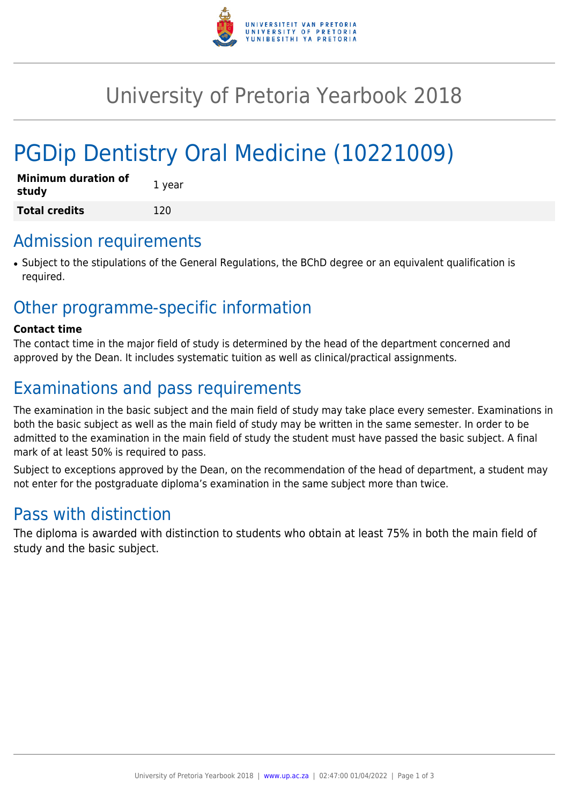

# University of Pretoria Yearbook 2018

# PGDip Dentistry Oral Medicine (10221009)

| <b>Minimum duration of</b><br>study | 1 year |
|-------------------------------------|--------|
| <b>Total credits</b>                | 120    |

## Admission requirements

● Subject to the stipulations of the General Regulations, the BChD degree or an equivalent qualification is required.

# Other programme-specific information

#### **Contact time**

The contact time in the major field of study is determined by the head of the department concerned and approved by the Dean. It includes systematic tuition as well as clinical/practical assignments.

# Examinations and pass requirements

The examination in the basic subject and the main field of study may take place every semester. Examinations in both the basic subject as well as the main field of study may be written in the same semester. In order to be admitted to the examination in the main field of study the student must have passed the basic subject. A final mark of at least 50% is required to pass.

Subject to exceptions approved by the Dean, on the recommendation of the head of department, a student may not enter for the postgraduate diploma's examination in the same subject more than twice.

# Pass with distinction

The diploma is awarded with distinction to students who obtain at least 75% in both the main field of study and the basic subject.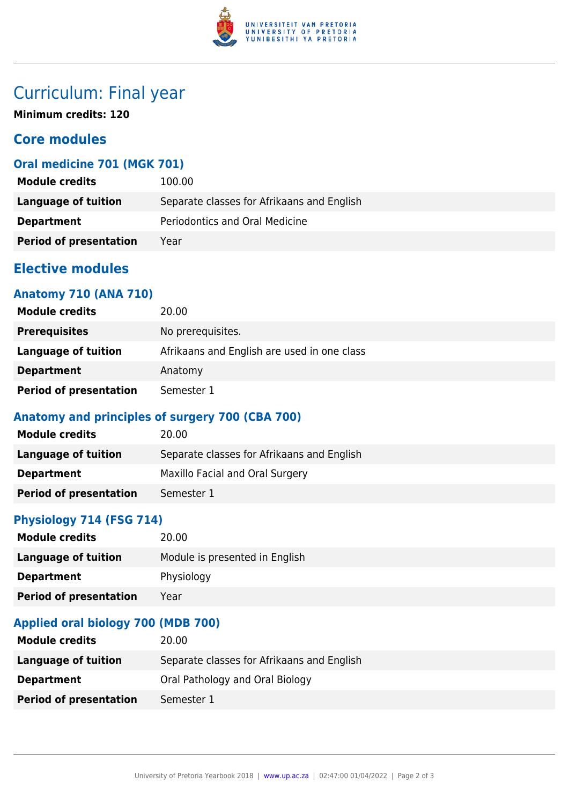

# Curriculum: Final year

**Minimum credits: 120**

## **Core modules**

## **Oral medicine 701 (MGK 701)**

| <b>Module credits</b>         | 100.00                                     |
|-------------------------------|--------------------------------------------|
| Language of tuition           | Separate classes for Afrikaans and English |
| <b>Department</b>             | Periodontics and Oral Medicine             |
| <b>Period of presentation</b> | Year                                       |

## **Elective modules**

## **Anatomy 710 (ANA 710)**

| <b>Module credits</b>         | 20.00                                       |
|-------------------------------|---------------------------------------------|
| <b>Prerequisites</b>          | No prerequisites.                           |
| Language of tuition           | Afrikaans and English are used in one class |
| <b>Department</b>             | Anatomy                                     |
| <b>Period of presentation</b> | Semester 1                                  |

## **Anatomy and principles of surgery 700 (CBA 700)**

| <b>Module credits</b>         | 20.00                                      |
|-------------------------------|--------------------------------------------|
| Language of tuition           | Separate classes for Afrikaans and English |
| <b>Department</b>             | Maxillo Facial and Oral Surgery            |
| <b>Period of presentation</b> | Semester 1                                 |

## **Physiology 714 (FSG 714)**

| <b>Module credits</b>         | 20.00                          |
|-------------------------------|--------------------------------|
| Language of tuition           | Module is presented in English |
| <b>Department</b>             | Physiology                     |
| <b>Period of presentation</b> | Year                           |

## **Applied oral biology 700 (MDB 700)**

| <b>Module credits</b>         | 20.00                                      |
|-------------------------------|--------------------------------------------|
| Language of tuition           | Separate classes for Afrikaans and English |
| <b>Department</b>             | Oral Pathology and Oral Biology            |
| <b>Period of presentation</b> | Semester 1                                 |